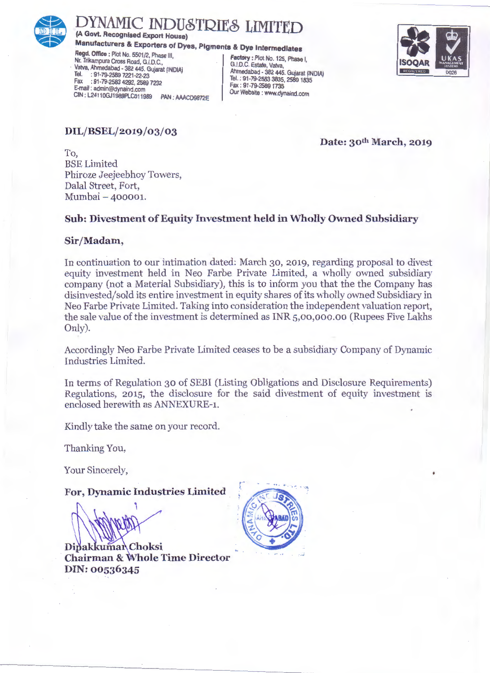

# **ISOCAR**<br>
(A Govt. Recognised Export House)<br>
Manufacturers & Exporters of Dyes, Pigments & Dye Intermediates<br>
Regd. Office : Plot No. 5501/2, Phase III,<br>
Nr. Trikampura Cross Road, G.I.D.C.,<br>
Vatva, Ahmedabad - 382 445. Gu **DYNAMIC INDUSTRIES LIMITED**

**(A Govt. Recognised Export House)** 

#### **Manufacturers & Exporters of Dyes, Pigments & Dye Intermediates**

**Regd. Office: Plot No. 5501/2, Phase III, Factory: Plot No. 125, Phase I,<br>
Nr. Trikampura Cross Road, G.I.D.C.<br>
Valva Ahmedahad . 393.445. Cuisent (INDIA)** Vatva, Ahmedabad - 382 445. Gujarat (INDIA) Tel. : 91-79-2589 7221-22-23<br>Fax : 91-79-2583 4292, 2589 7232 E-mail : admin@dynaind.com<br>CIN : 1 24110G H agapt Collins RAM - AAACDORTACH OUT Website : www.dynaind.com CIN : L2411 OGJ1989PLCo11989 PAN : AAACD9872E Our Website : www.dynaind.com

Ahmedabad - 382 445. Gujarat (INDIA) Tel.: 91-79-2583 3835, 2589 1835<br>Fax: 91-79-2589 1735



**DIL/BSEL/2019/03/03** 

**Date: 30th March, 2019** 

To, BSE Limited Phiroze Jeejeebhoy Towers, Dalal Street, Fort, Mumbai- 400001.

#### **Sub: Divestment of Equity Investment held in Wholly Owned Subsidiary**

#### **Sir/Madam,**

In continuation to our intimation dated: March 30, 2019, regarding proposal to divest equity investment held in Neo Farbe Private Limited, a wholly owned subsidiary company (not a Material Subsidiary), this is to inform you that the the Company has disinvested/sold its entire investment in equity shares of its wholly owned Subsidiary in Neo Farbe Private Limited. Taking into consideration the independent valuation report, the sale value of the investment is determined as INR 5,0o,ooo.oo (Rupees Five Lakhs Only).

Accordingly Neo Farbe Private Limited ceases to be a subsidiary Company of Dynamic Industries Limited.

In terms of Regulation 30 of SEBI (Listing Obligations and Disclosure Requirements) Regulations, 2015, the disclosure for the said divestment of equity investment is enclosed herewith as ANNEXURE-1.

Kindly take the same on your record.

Thanking You,

Your Sincerely,

**For, Dynamic Industries Limited** 

'\

**Dipakkumar** Choksi **Chairman & Whole Time Director DIN:00536345**